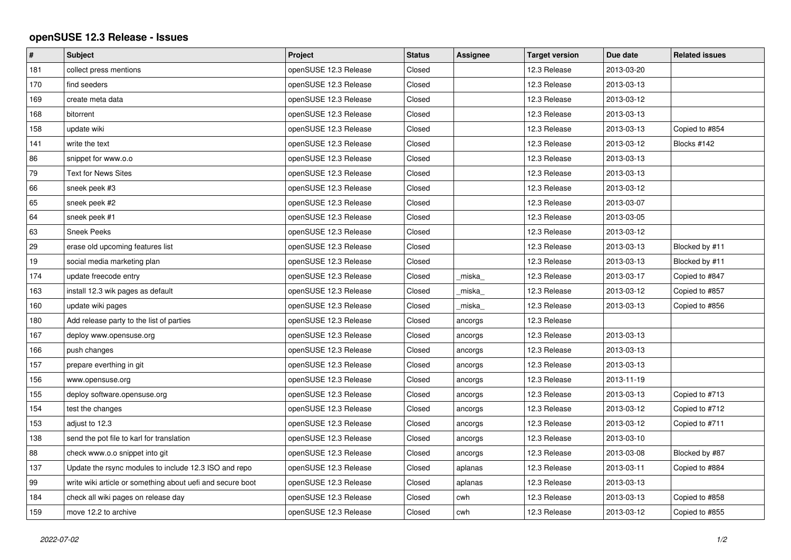## **openSUSE 12.3 Release - Issues**

| $\sharp$ | <b>Subject</b>                                             | Project               | <b>Status</b> | <b>Assignee</b> | <b>Target version</b> | Due date   | <b>Related issues</b> |
|----------|------------------------------------------------------------|-----------------------|---------------|-----------------|-----------------------|------------|-----------------------|
| 181      | collect press mentions                                     | openSUSE 12.3 Release | Closed        |                 | 12.3 Release          | 2013-03-20 |                       |
| 170      | find seeders                                               | openSUSE 12.3 Release | Closed        |                 | 12.3 Release          | 2013-03-13 |                       |
| 169      | create meta data                                           | openSUSE 12.3 Release | Closed        |                 | 12.3 Release          | 2013-03-12 |                       |
| 168      | bitorrent                                                  | openSUSE 12.3 Release | Closed        |                 | 12.3 Release          | 2013-03-13 |                       |
| 158      | update wiki                                                | openSUSE 12.3 Release | Closed        |                 | 12.3 Release          | 2013-03-13 | Copied to #854        |
| 141      | write the text                                             | openSUSE 12.3 Release | Closed        |                 | 12.3 Release          | 2013-03-12 | Blocks #142           |
| 86       | snippet for www.o.o                                        | openSUSE 12.3 Release | Closed        |                 | 12.3 Release          | 2013-03-13 |                       |
| 79       | <b>Text for News Sites</b>                                 | openSUSE 12.3 Release | Closed        |                 | 12.3 Release          | 2013-03-13 |                       |
| 66       | sneek peek #3                                              | openSUSE 12.3 Release | Closed        |                 | 12.3 Release          | 2013-03-12 |                       |
| 65       | sneek peek #2                                              | openSUSE 12.3 Release | Closed        |                 | 12.3 Release          | 2013-03-07 |                       |
| 64       | sneek peek #1                                              | openSUSE 12.3 Release | Closed        |                 | 12.3 Release          | 2013-03-05 |                       |
| 63       | <b>Sneek Peeks</b>                                         | openSUSE 12.3 Release | Closed        |                 | 12.3 Release          | 2013-03-12 |                       |
| 29       | erase old upcoming features list                           | openSUSE 12.3 Release | Closed        |                 | 12.3 Release          | 2013-03-13 | Blocked by #11        |
| 19       | social media marketing plan                                | openSUSE 12.3 Release | Closed        |                 | 12.3 Release          | 2013-03-13 | Blocked by #11        |
| 174      | update freecode entry                                      | openSUSE 12.3 Release | Closed        | miska           | 12.3 Release          | 2013-03-17 | Copied to #847        |
| 163      | install 12.3 wik pages as default                          | openSUSE 12.3 Release | Closed        | miska           | 12.3 Release          | 2013-03-12 | Copied to #857        |
| 160      | update wiki pages                                          | openSUSE 12.3 Release | Closed        | miska           | 12.3 Release          | 2013-03-13 | Copied to #856        |
| 180      | Add release party to the list of parties                   | openSUSE 12.3 Release | Closed        | ancorgs         | 12.3 Release          |            |                       |
| 167      | deploy www.opensuse.org                                    | openSUSE 12.3 Release | Closed        | ancorgs         | 12.3 Release          | 2013-03-13 |                       |
| 166      | push changes                                               | openSUSE 12.3 Release | Closed        | ancorgs         | 12.3 Release          | 2013-03-13 |                       |
| 157      | prepare everthing in git                                   | openSUSE 12.3 Release | Closed        | ancorgs         | 12.3 Release          | 2013-03-13 |                       |
| 156      | www.opensuse.org                                           | openSUSE 12.3 Release | Closed        | ancorgs         | 12.3 Release          | 2013-11-19 |                       |
| 155      | deploy software.opensuse.org                               | openSUSE 12.3 Release | Closed        | ancorgs         | 12.3 Release          | 2013-03-13 | Copied to #713        |
| 154      | test the changes                                           | openSUSE 12.3 Release | Closed        | ancorgs         | 12.3 Release          | 2013-03-12 | Copied to #712        |
| 153      | adjust to 12.3                                             | openSUSE 12.3 Release | Closed        | ancorgs         | 12.3 Release          | 2013-03-12 | Copied to #711        |
| 138      | send the pot file to karl for translation                  | openSUSE 12.3 Release | Closed        | ancorgs         | 12.3 Release          | 2013-03-10 |                       |
| 88       | check www.o.o snippet into git                             | openSUSE 12.3 Release | Closed        | ancorgs         | 12.3 Release          | 2013-03-08 | Blocked by #87        |
| 137      | Update the rsync modules to include 12.3 ISO and repo      | openSUSE 12.3 Release | Closed        | aplanas         | 12.3 Release          | 2013-03-11 | Copied to #884        |
| 99       | write wiki article or something about uefi and secure boot | openSUSE 12.3 Release | Closed        | aplanas         | 12.3 Release          | 2013-03-13 |                       |
| 184      | check all wiki pages on release day                        | openSUSE 12.3 Release | Closed        | cwh             | 12.3 Release          | 2013-03-13 | Copied to #858        |
| 159      | move 12.2 to archive                                       | openSUSE 12.3 Release | Closed        | cwh             | 12.3 Release          | 2013-03-12 | Copied to #855        |